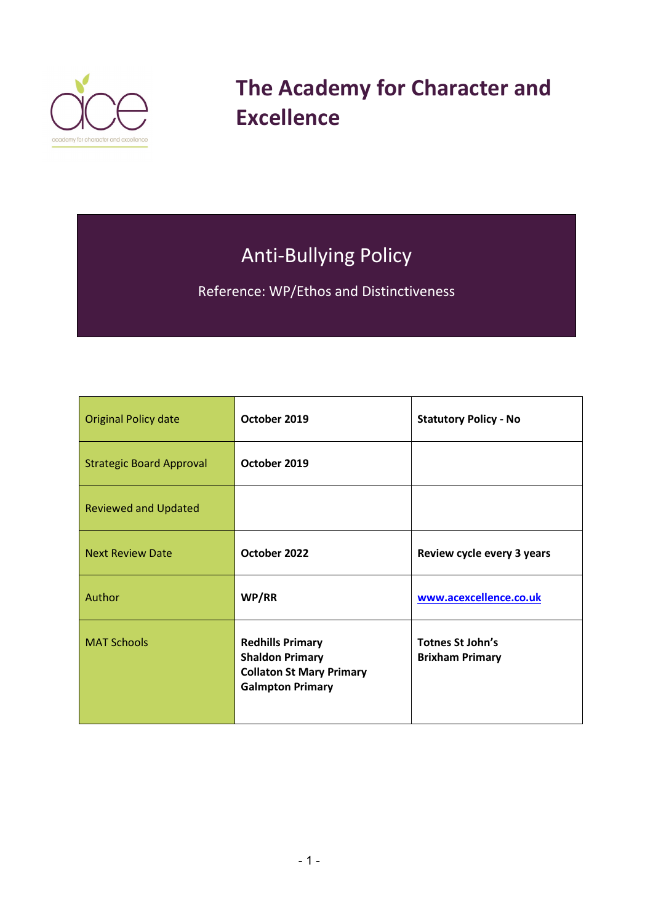

**The Academy for Character and Excellence** 

# Anti-Bullying Policy

Reference: WP/Ethos and Distinctiveness

| <b>Original Policy date</b>     | October 2019                                                                                                    | <b>Statutory Policy - No</b>                      |
|---------------------------------|-----------------------------------------------------------------------------------------------------------------|---------------------------------------------------|
| <b>Strategic Board Approval</b> | October 2019                                                                                                    |                                                   |
| <b>Reviewed and Updated</b>     |                                                                                                                 |                                                   |
| <b>Next Review Date</b>         | October 2022                                                                                                    | Review cycle every 3 years                        |
| Author                          | WP/RR                                                                                                           | www.acexcellence.co.uk                            |
| <b>MAT Schools</b>              | <b>Redhills Primary</b><br><b>Shaldon Primary</b><br><b>Collaton St Mary Primary</b><br><b>Galmpton Primary</b> | <b>Totnes St John's</b><br><b>Brixham Primary</b> |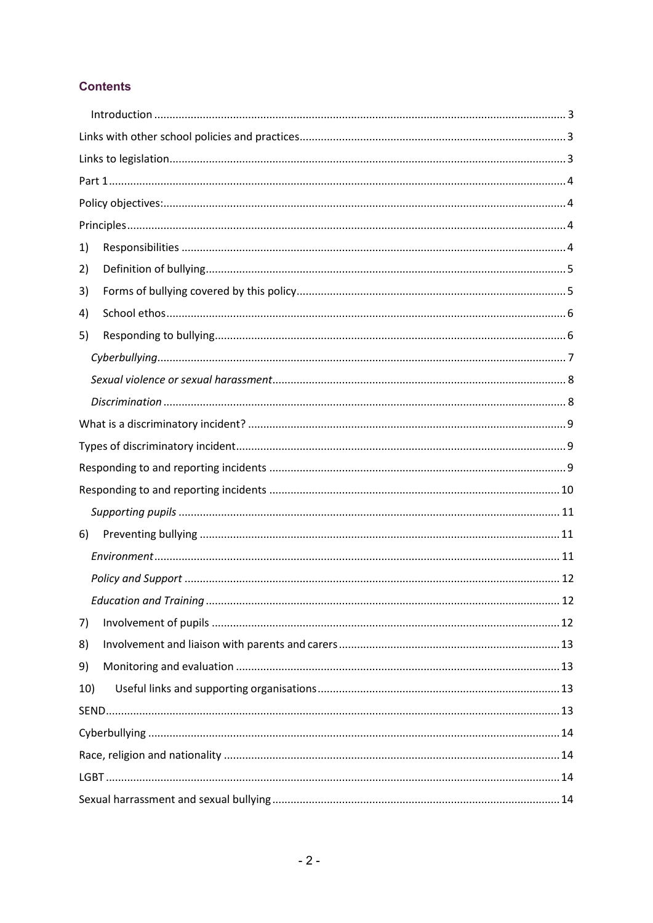## **Contents**

| 1)  |  |  |
|-----|--|--|
| 2)  |  |  |
| 3)  |  |  |
| 4)  |  |  |
| 5)  |  |  |
|     |  |  |
|     |  |  |
|     |  |  |
|     |  |  |
|     |  |  |
|     |  |  |
|     |  |  |
|     |  |  |
| 6)  |  |  |
|     |  |  |
|     |  |  |
|     |  |  |
| 7)  |  |  |
| 8)  |  |  |
| 9)  |  |  |
| 10) |  |  |
|     |  |  |
|     |  |  |
|     |  |  |
|     |  |  |
|     |  |  |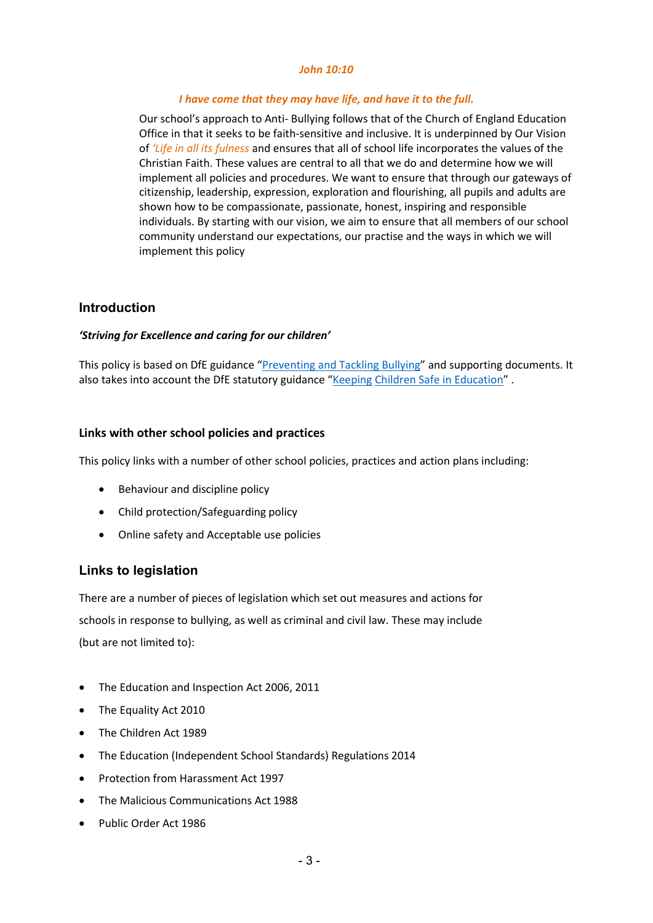#### *John 10:10*

#### *I have come that they may have life, and have it to the full.*

Our school's approach to Anti- Bullying follows that of the Church of England Education Office in that it seeks to be faith-sensitive and inclusive. It is underpinned by Our Vision of *'Life in all its fulness* and ensures that all of school life incorporates the values of the Christian Faith. These values are central to all that we do and determine how we will implement all policies and procedures. We want to ensure that through our gateways of citizenship, leadership, expression, exploration and flourishing, all pupils and adults are shown how to be compassionate, passionate, honest, inspiring and responsible individuals. By starting with our vision, we aim to ensure that all members of our school community understand our expectations, our practise and the ways in which we will implement this policy

## <span id="page-2-0"></span>**Introduction**

#### *'Striving for Excellence and caring for our children'*

This policy is based on DfE guidance ["Preventing and Tackling Bullying"](https://www.gov.uk/government/publications/preventing-and-tackling-bullying) and supporting documents. It also takes into account the DfE statutory guidance ["Keeping](https://www.gov.uk/government/publications/keeping-children-safe-in-education--2) [Children Safe in Education"](https://www.gov.uk/government/publications/keeping-children-safe-in-education--2).

#### <span id="page-2-1"></span>**Links with other school policies and practices**

This policy links with a number of other school policies, practices and action plans including:

- Behaviour and discipline policy
- Child protection/Safeguarding policy
- Online safety and Acceptable use policies

## <span id="page-2-2"></span>**Links to legislation**

There are a number of pieces of legislation which set out measures and actions for schools in response to bullying, as well as criminal and civil law. These may include (but are not limited to):

- The Education and Inspection Act 2006, 2011
- The Equality Act 2010
- The Children Act 1989
- The Education (Independent School Standards) Regulations 2014
- Protection from Harassment Act 1997
- The Malicious Communications Act 1988
- Public Order Act 1986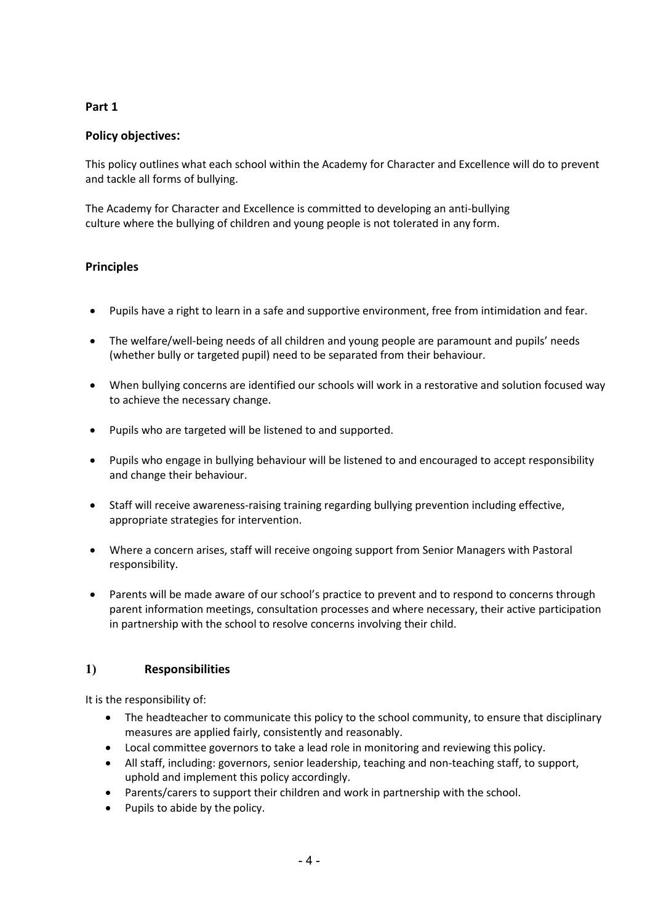## <span id="page-3-0"></span>**Part 1**

## <span id="page-3-1"></span>**Policy objectives:**

This policy outlines what each school within the Academy for Character and Excellence will do to prevent and tackle all forms of bullying.

The Academy for Character and Excellence is committed to developing an anti-bullying culture where the bullying of children and young people is not tolerated in any form.

#### <span id="page-3-2"></span>**Principles**

- Pupils have a right to learn in a safe and supportive environment, free from intimidation and fear.
- The welfare/well-being needs of all children and young people are paramount and pupils' needs (whether bully or targeted pupil) need to be separated from their behaviour.
- When bullying concerns are identified our schools will work in a restorative and solution focused way to achieve the necessary change.
- Pupils who are targeted will be listened to and supported.
- Pupils who engage in bullying behaviour will be listened to and encouraged to accept responsibility and change their behaviour.
- Staff will receive awareness-raising training regarding bullying prevention including effective, appropriate strategies for intervention.
- Where a concern arises, staff will receive ongoing support from Senior Managers with Pastoral responsibility.
- Parents will be made aware of our school's practice to prevent and to respond to concerns through parent information meetings, consultation processes and where necessary, their active participation in partnership with the school to resolve concerns involving their child.

#### <span id="page-3-3"></span>**1) Responsibilities**

It is the responsibility of:

- The headteacher to communicate this policy to the school community, to ensure that disciplinary measures are applied fairly, consistently and reasonably.
- Local committee governors to take a lead role in monitoring and reviewing this policy.
- All staff, including: governors, senior leadership, teaching and non-teaching staff, to support, uphold and implement this policy accordingly.
- Parents/carers to support their children and work in partnership with the school.
- Pupils to abide by the policy.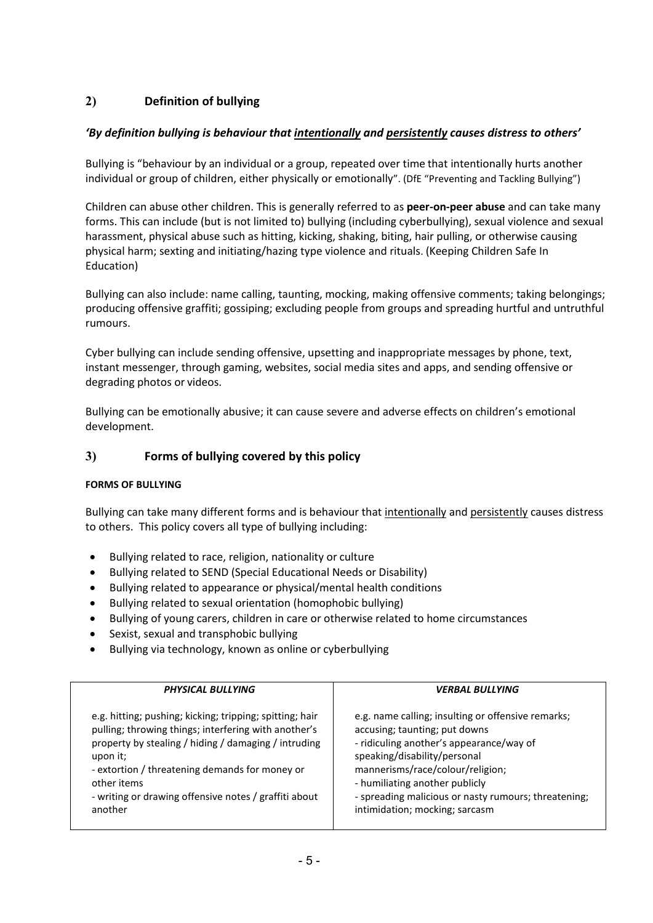# <span id="page-4-0"></span>**2) Definition of bullying**

## *'By definition bullying is behaviour that intentionally and persistently causes distress to others'*

Bullying is "behaviour by an individual or a group, repeated over time that intentionally hurts another individual or group of children, either physically or emotionally". (DfE "Preventing and Tackling Bullying")

Children can abuse other children. This is generally referred to as **peer-on-peer abuse** and can take many forms. This can include (but is not limited to) bullying (including cyberbullying), sexual violence and sexual harassment, physical abuse such as hitting, kicking, shaking, biting, hair pulling, or otherwise causing physical harm; sexting and initiating/hazing type violence and rituals. (Keeping Children Safe In Education)

Bullying can also include: name calling, taunting, mocking, making offensive comments; taking belongings; producing offensive graffiti; gossiping; excluding people from groups and spreading hurtful and untruthful rumours.

Cyber bullying can include sending offensive, upsetting and inappropriate messages by phone, text, instant messenger, through gaming, websites, social media sites and apps, and sending offensive or degrading photos or videos.

Bullying can be emotionally abusive; it can cause severe and adverse effects on children's emotional development.

## <span id="page-4-1"></span>**3) Forms of bullying covered by this policy**

#### **FORMS OF BULLYING**

Bullying can take many different forms and is behaviour that intentionally and persistently causes distress to others. This policy covers all type of bullying including:

- Bullying related to race, religion, nationality or culture
- Bullying related to SEND (Special Educational Needs or Disability)
- Bullying related to appearance or physical/mental health conditions
- Bullying related to sexual orientation (homophobic bullying)
- Bullying of young carers, children in care or otherwise related to home circumstances
- Sexist, sexual and transphobic bullying
- Bullying via technology, known as online or cyberbullying

| PHYSICAL BULLYING                                        | <b>VERBAL BULLYING</b>                               |
|----------------------------------------------------------|------------------------------------------------------|
| e.g. hitting; pushing; kicking; tripping; spitting; hair | e.g. name calling; insulting or offensive remarks;   |
| pulling; throwing things; interfering with another's     | accusing; taunting; put downs                        |
| property by stealing / hiding / damaging / intruding     | - ridiculing another's appearance/way of             |
| upon it;                                                 | speaking/disability/personal                         |
| - extortion / threatening demands for money or           | mannerisms/race/colour/religion;                     |
| other items                                              | - humiliating another publicly                       |
| - writing or drawing offensive notes / graffiti about    | - spreading malicious or nasty rumours; threatening; |
| another                                                  | intimidation; mocking; sarcasm                       |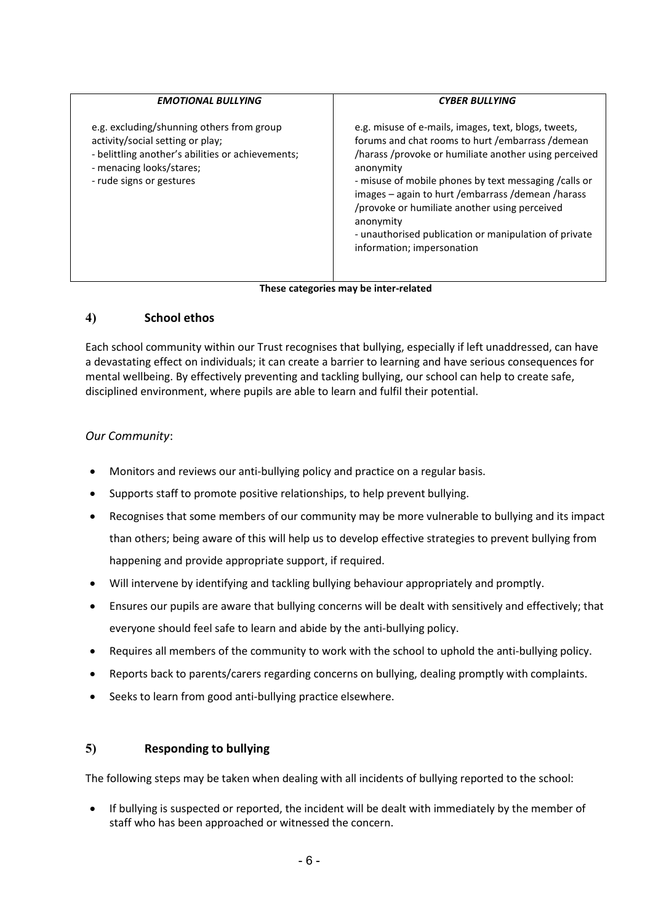| <b>EMOTIONAL BULLYING</b>                                                                                                                                                                  | <b>CYBER BULLYING</b>                                                                                                                                                                                                                                                                                                                                                                                                                                  |
|--------------------------------------------------------------------------------------------------------------------------------------------------------------------------------------------|--------------------------------------------------------------------------------------------------------------------------------------------------------------------------------------------------------------------------------------------------------------------------------------------------------------------------------------------------------------------------------------------------------------------------------------------------------|
| e.g. excluding/shunning others from group<br>activity/social setting or play;<br>- belittling another's abilities or achievements;<br>- menacing looks/stares;<br>- rude signs or gestures | e.g. misuse of e-mails, images, text, blogs, tweets,<br>forums and chat rooms to hurt / embarrass / demean<br>/harass/provoke or humiliate another using perceived<br>anonymity<br>- misuse of mobile phones by text messaging / calls or<br>images - again to hurt / embarrass / demean / harass<br>/provoke or humiliate another using perceived<br>anonymity<br>- unauthorised publication or manipulation of private<br>information; impersonation |
|                                                                                                                                                                                            |                                                                                                                                                                                                                                                                                                                                                                                                                                                        |

#### **These categories may be inter-related**

## <span id="page-5-0"></span>**4) School ethos**

Each school community within our Trust recognises that bullying, especially if left unaddressed, can have a devastating effect on individuals; it can create a barrier to learning and have serious consequences for mental wellbeing. By effectively preventing and tackling bullying, our school can help to create safe, disciplined environment, where pupils are able to learn and fulfil their potential.

## *Our Community*:

- Monitors and reviews our anti-bullying policy and practice on a regular basis.
- Supports staff to promote positive relationships, to help prevent bullying.
- Recognises that some members of our community may be more vulnerable to bullying and its impact than others; being aware of this will help us to develop effective strategies to prevent bullying from happening and provide appropriate support, if required.
- Will intervene by identifying and tackling bullying behaviour appropriately and promptly.
- Ensures our pupils are aware that bullying concerns will be dealt with sensitively and effectively; that everyone should feel safe to learn and abide by the anti-bullying policy.
- Requires all members of the community to work with the school to uphold the anti-bullying policy.
- Reports back to parents/carers regarding concerns on bullying, dealing promptly with complaints.
- Seeks to learn from good anti-bullying practice elsewhere.

#### <span id="page-5-1"></span>**5) Responding to bullying**

The following steps may be taken when dealing with all incidents of bullying reported to the school:

• If bullying is suspected or reported, the incident will be dealt with immediately by the member of staff who has been approached or witnessed the concern.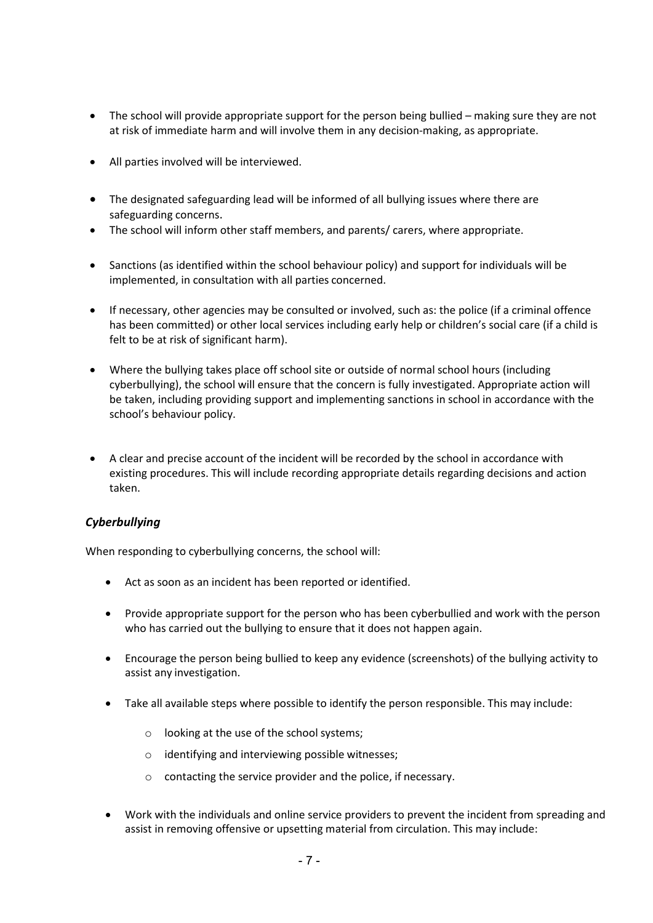- The school will provide appropriate support for the person being bullied making sure they are not at risk of immediate harm and will involve them in any decision-making, as appropriate.
- All parties involved will be interviewed.
- The designated safeguarding lead will be informed of all bullying issues where there are safeguarding concerns.
- The school will inform other staff members, and parents/ carers, where appropriate.
- Sanctions (as identified within the school behaviour policy) and support for individuals will be implemented, in consultation with all parties concerned.
- If necessary, other agencies may be consulted or involved, such as: the police (if a criminal offence has been committed) or other local services including early help or children's social care (if a child is felt to be at risk of significant harm).
- Where the bullying takes place off school site or outside of normal school hours (including cyberbullying), the school will ensure that the concern is fully investigated. Appropriate action will be taken, including providing support and implementing sanctions in school in accordance with the school's behaviour policy.
- A clear and precise account of the incident will be recorded by the school in accordance with existing procedures. This will include recording appropriate details regarding decisions and action taken.

## <span id="page-6-0"></span>*Cyberbullying*

When responding to cyberbullying concerns, the school will:

- Act as soon as an incident has been reported or identified.
- Provide appropriate support for the person who has been cyberbullied and work with the person who has carried out the bullying to ensure that it does not happen again.
- Encourage the person being bullied to keep any evidence (screenshots) of the bullying activity to assist any investigation.
- Take all available steps where possible to identify the person responsible. This may include:
	- o looking at the use of the school systems;
	- o identifying and interviewing possible witnesses;
	- o contacting the service provider and the police, if necessary.
- Work with the individuals and online service providers to prevent the incident from spreading and assist in removing offensive or upsetting material from circulation. This may include: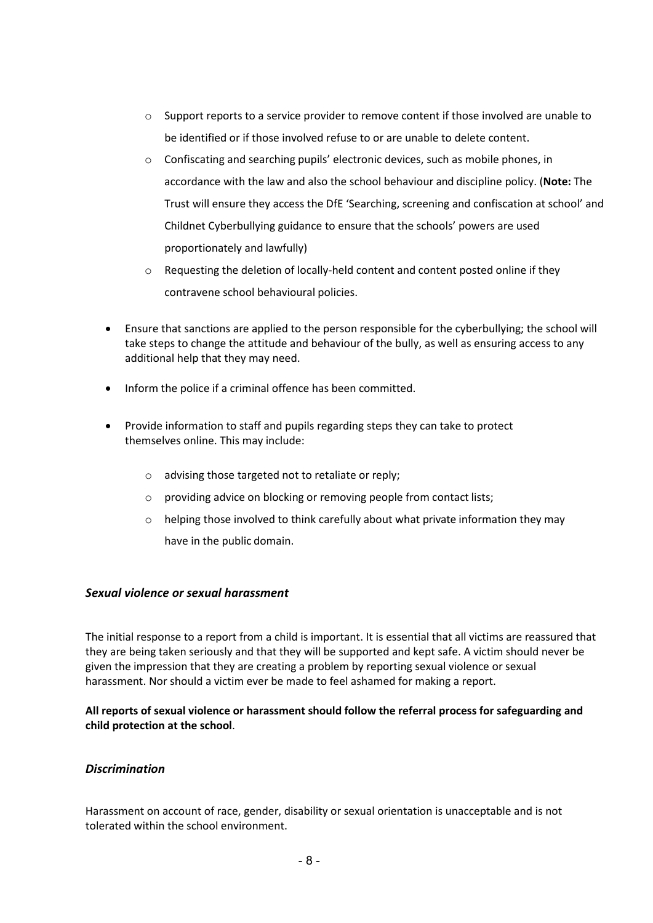- $\circ$  Support reports to a service provider to remove content if those involved are unable to be identified or if those involved refuse to or are unable to delete content.
- $\circ$  Confiscating and searching pupils' electronic devices, such as mobile phones, in accordance with the law and also the school behaviour and discipline policy. (**Note:** The Trust will ensure they access the DfE 'Searching, screening and confiscation at school' and Childnet Cyberbullying guidance to ensure that the schools' powers are used proportionately and lawfully)
- o Requesting the deletion of locally-held content and content posted online if they contravene school behavioural policies.
- Ensure that sanctions are applied to the person responsible for the cyberbullying; the school will take steps to change the attitude and behaviour of the bully, as well as ensuring access to any additional help that they may need.
- Inform the police if a criminal offence has been committed.
- Provide information to staff and pupils regarding steps they can take to protect themselves online. This may include:
	- o advising those targeted not to retaliate or reply;
	- o providing advice on blocking or removing people from contact lists;
	- $\circ$  helping those involved to think carefully about what private information they may have in the public domain.

#### <span id="page-7-0"></span>*Sexual violence or sexual harassment*

The initial response to a report from a child is important. It is essential that all victims are reassured that they are being taken seriously and that they will be supported and kept safe. A victim should never be given the impression that they are creating a problem by reporting sexual violence or sexual harassment. Nor should a victim ever be made to feel ashamed for making a report.

**All reports of sexual violence or harassment should follow the referral process for safeguarding and child protection at the school**.

#### <span id="page-7-1"></span>*Discrimination*

Harassment on account of race, gender, disability or sexual orientation is unacceptable and is not tolerated within the school environment.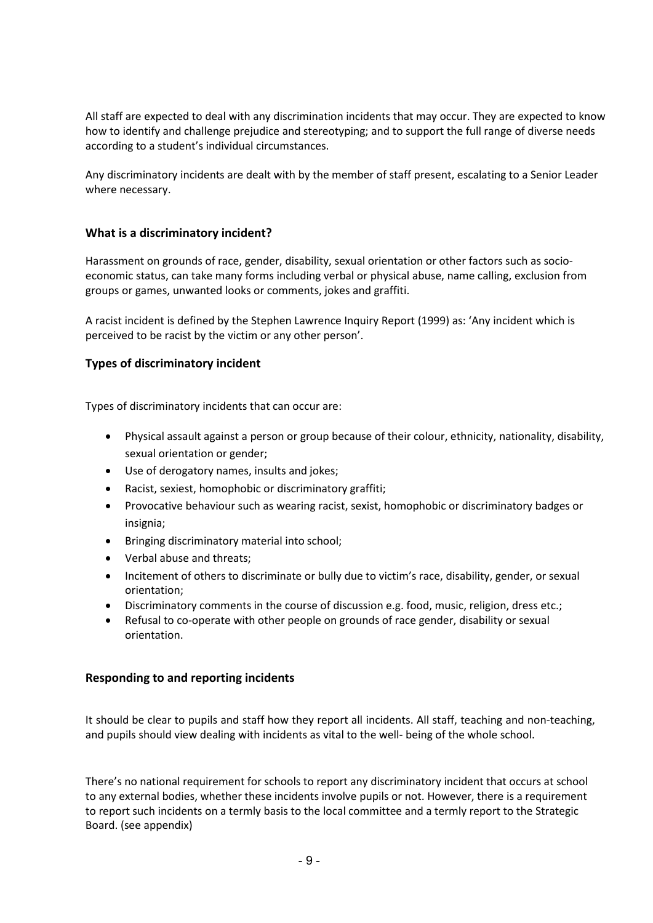All staff are expected to deal with any discrimination incidents that may occur. They are expected to know how to identify and challenge prejudice and stereotyping; and to support the full range of diverse needs according to a student's individual circumstances.

Any discriminatory incidents are dealt with by the member of staff present, escalating to a Senior Leader where necessary.

#### <span id="page-8-0"></span>**What is a discriminatory incident?**

Harassment on grounds of race, gender, disability, sexual orientation or other factors such as socioeconomic status, can take many forms including verbal or physical abuse, name calling, exclusion from groups or games, unwanted looks or comments, jokes and graffiti.

A racist incident is defined by the Stephen Lawrence Inquiry Report (1999) as: 'Any incident which is perceived to be racist by the victim or any other person'.

#### <span id="page-8-1"></span>**Types of discriminatory incident**

Types of discriminatory incidents that can occur are:

- Physical assault against a person or group because of their colour, ethnicity, nationality, disability, sexual orientation or gender;
- Use of derogatory names, insults and jokes;
- Racist, sexiest, homophobic or discriminatory graffiti;
- Provocative behaviour such as wearing racist, sexist, homophobic or discriminatory badges or insignia;
- Bringing discriminatory material into school;
- Verbal abuse and threats;
- Incitement of others to discriminate or bully due to victim's race, disability, gender, or sexual orientation;
- Discriminatory comments in the course of discussion e.g. food, music, religion, dress etc.;
- Refusal to co-operate with other people on grounds of race gender, disability or sexual orientation.

#### <span id="page-8-2"></span>**Responding to and reporting incidents**

It should be clear to pupils and staff how they report all incidents. All staff, teaching and non-teaching, and pupils should view dealing with incidents as vital to the well- being of the whole school.

There's no national requirement for schools to report any discriminatory incident that occurs at school to any external bodies, whether these incidents involve pupils or not. However, there is a requirement to report such incidents on a termly basis to the local committee and a termly report to the Strategic Board. (see appendix)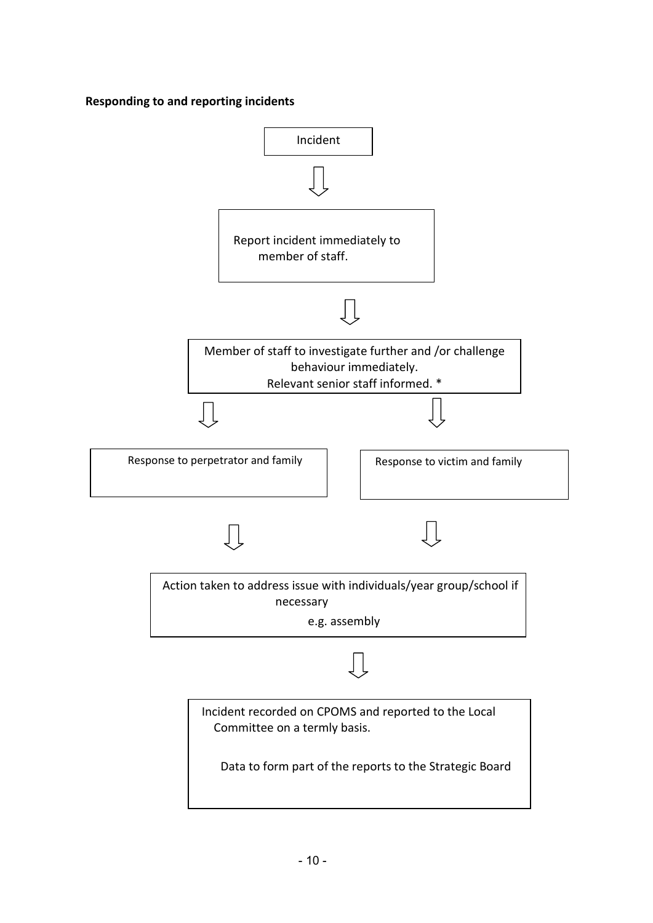**Responding to and reporting incidents**

<span id="page-9-0"></span>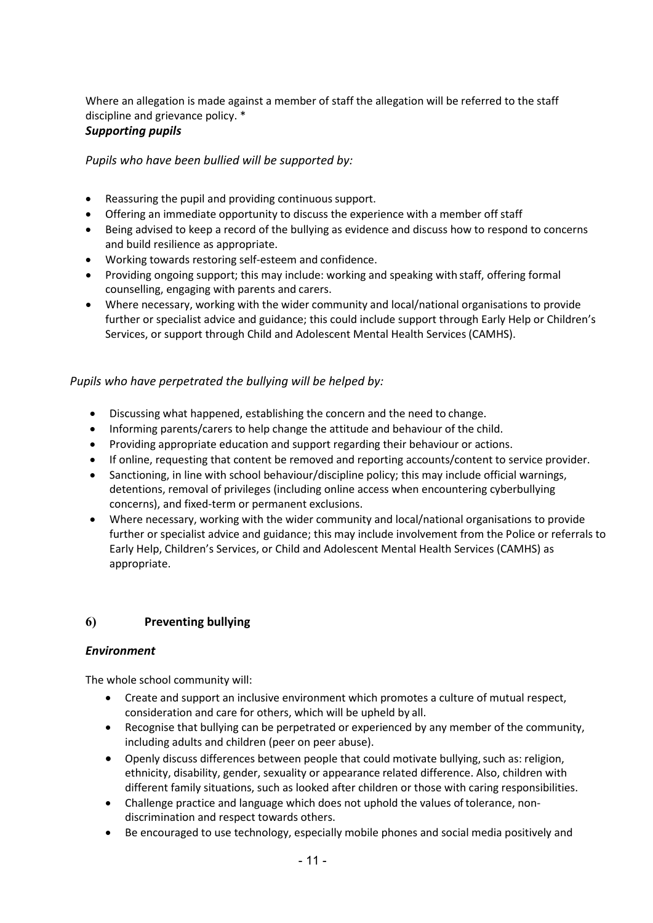Where an allegation is made against a member of staff the allegation will be referred to the staff discipline and grievance policy. \*

## <span id="page-10-0"></span>*Supporting pupils*

*Pupils who have been bullied will be supported by:*

- Reassuring the pupil and providing continuous support.
- Offering an immediate opportunity to discuss the experience with a member off staff
- Being advised to keep a record of the bullying as evidence and discuss how to respond to concerns and build resilience as appropriate.
- Working towards restoring self-esteem and confidence.
- Providing ongoing support; this may include: working and speaking with staff, offering formal counselling, engaging with parents and carers.
- Where necessary, working with the wider community and local/national organisations to provide further or specialist advice and guidance; this could include support through Early Help or Children's Services, or support through Child and Adolescent Mental Health Services (CAMHS).

## *Pupils who have perpetrated the bullying will be helped by:*

- Discussing what happened, establishing the concern and the need to change.
- Informing parents/carers to help change the attitude and behaviour of the child.
- Providing appropriate education and support regarding their behaviour or actions.
- If online, requesting that content be removed and reporting accounts/content to service provider.
- Sanctioning, in line with school behaviour/discipline policy; this may include official warnings, detentions, removal of privileges (including online access when encountering cyberbullying concerns), and fixed-term or permanent exclusions.
- Where necessary, working with the wider community and local/national organisations to provide further or specialist advice and guidance; this may include involvement from the Police or referrals to Early Help, Children's Services, or Child and Adolescent Mental Health Services (CAMHS) as appropriate.

## <span id="page-10-1"></span>**6) Preventing bullying**

#### <span id="page-10-2"></span>*Environment*

The whole school community will:

- Create and support an inclusive environment which promotes a culture of mutual respect, consideration and care for others, which will be upheld by all.
- Recognise that bullying can be perpetrated or experienced by any member of the community, including adults and children (peer on peer abuse).
- Openly discuss differences between people that could motivate bullying, such as: religion, ethnicity, disability, gender, sexuality or appearance related difference. Also, children with different family situations, such as looked after children or those with caring responsibilities.
- Challenge practice and language which does not uphold the values of tolerance, nondiscrimination and respect towards others.
- Be encouraged to use technology, especially mobile phones and social media positively and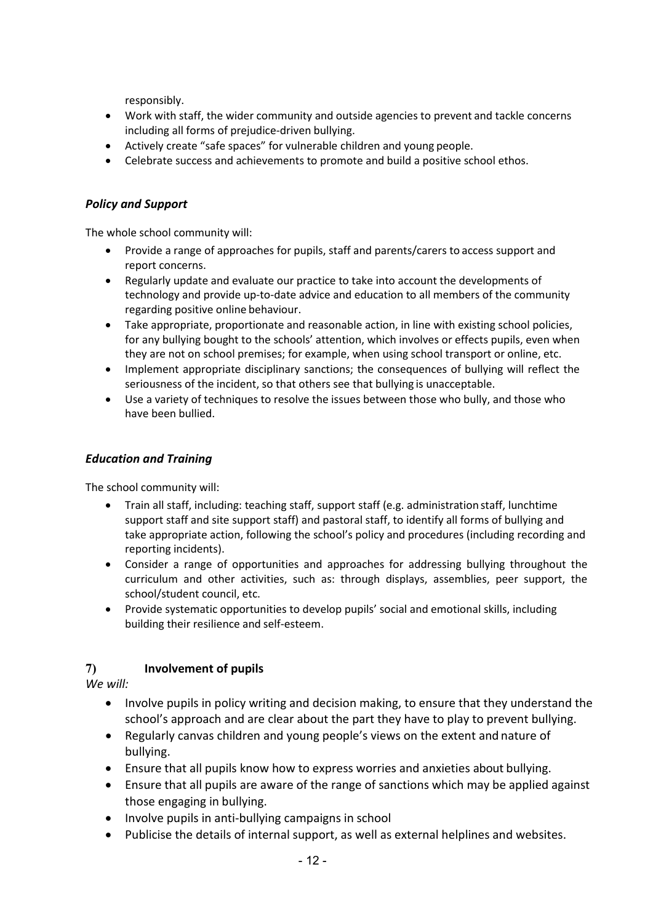responsibly.

- Work with staff, the wider community and outside agencies to prevent and tackle concerns including all forms of prejudice-driven bullying.
- Actively create "safe spaces" for vulnerable children and young people.
- Celebrate success and achievements to promote and build a positive school ethos.

## <span id="page-11-0"></span>*Policy and Support*

The whole school community will:

- Provide a range of approaches for pupils, staff and parents/carers to access support and report concerns.
- Regularly update and evaluate our practice to take into account the developments of technology and provide up-to-date advice and education to all members of the community regarding positive online behaviour.
- Take appropriate, proportionate and reasonable action, in line with existing school policies, for any bullying bought to the schools' attention, which involves or effects pupils, even when they are not on school premises; for example, when using school transport or online, etc.
- Implement appropriate disciplinary sanctions; the consequences of bullying will reflect the seriousness of the incident, so that others see that bullying is unacceptable.
- Use a variety of techniques to resolve the issues between those who bully, and those who have been bullied.

## <span id="page-11-1"></span>*Education and Training*

The school community will:

- Train all staff, including: teaching staff, support staff (e.g. administration staff, lunchtime support staff and site support staff) and pastoral staff, to identify all forms of bullying and take appropriate action, following the school's policy and procedures (including recording and reporting incidents).
- Consider a range of opportunities and approaches for addressing bullying throughout the curriculum and other activities, such as: through displays, assemblies, peer support, the school/student council, etc.
- Provide systematic opportunities to develop pupils' social and emotional skills, including building their resilience and self-esteem.

# <span id="page-11-2"></span>**7) Involvement of pupils**

*We will:*

- Involve pupils in policy writing and decision making, to ensure that they understand the school's approach and are clear about the part they have to play to prevent bullying.
- Regularly canvas children and young people's views on the extent and nature of bullying.
- Ensure that all pupils know how to express worries and anxieties about bullying.
- Ensure that all pupils are aware of the range of sanctions which may be applied against those engaging in bullying.
- Involve pupils in anti-bullying campaigns in school
- Publicise the details of internal support, as well as external helplines and websites.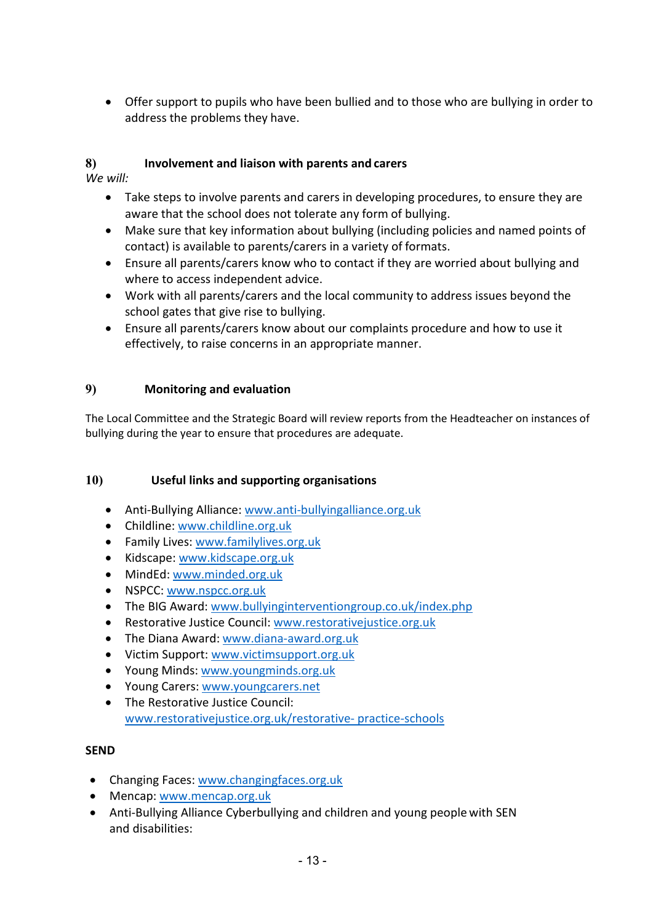• Offer support to pupils who have been bullied and to those who are bullying in order to address the problems they have.

# <span id="page-12-0"></span>**8) Involvement and liaison with parents and carers**

*We will:*

- Take steps to involve parents and carers in developing procedures, to ensure they are aware that the school does not tolerate any form of bullying.
- Make sure that key information about bullying (including policies and named points of contact) is available to parents/carers in a variety of formats.
- Ensure all parents/carers know who to contact if they are worried about bullying and where to access independent advice.
- Work with all parents/carers and the local community to address issues beyond the school gates that give rise to bullying.
- Ensure all parents/carers know about our complaints procedure and how to use it effectively, to raise concerns in an appropriate manner.

## <span id="page-12-1"></span>**9) Monitoring and evaluation**

The Local Committee and the Strategic Board will review reports from the Headteacher on instances of bullying during the year to ensure that procedures are adequate.

## <span id="page-12-2"></span>**10) Useful links and supporting organisations**

- Anti-Bullying Alliance: [www.anti-bullyingalliance.org.uk](http://www.anti-bullyingalliance.org.uk/)
- Childline: [www.childline.org.uk](http://www.childline.org.uk/)
- Family Lives: [www.familylives.org.uk](http://www.familylives.org.uk/)
- Kidscape: [www.kidscape.org.uk](http://www.kidscape.org.uk/)
- MindEd: [www.minded.org.uk](http://www.minded.org.uk/)
- NSPCC: [www.nspcc.org.uk](http://www.nspcc.org.uk/)
- The BIG Award: [www.bullyinginterventiongroup.co.uk/index.php](http://www.bullyinginterventiongroup.co.uk/index.php)
- Restorative Justice Council: [www.restorativejustice.org.uk](http://www.restorativejustice.org.uk/)
- The Diana Award: [www.diana-award.org.uk](http://www.diana-award.org.uk/)
- Victim Support: [www.victimsupport.org.uk](http://www.victimsupport.org.uk/)
- Young Minds: [www.youngminds.org.uk](http://www.youngminds.org.uk/)
- Young Carers: [www.youngcarers.net](http://www.youngcarers.net/)
- The Restorative Justice Council: [www.restorativejustice.org.uk/restorative-](http://www.restorativejustice.org.uk/restorative-) practice-schools

## <span id="page-12-3"></span>**SEND**

- Changing Faces: [www.changingfaces.org.uk](http://www.changingfaces.org.uk/)
- Mencap: [www.mencap.org.uk](http://www.mencap.org.uk/)
- Anti-Bullying Alliance Cyberbullying and children and young people with SEN and disabilities: